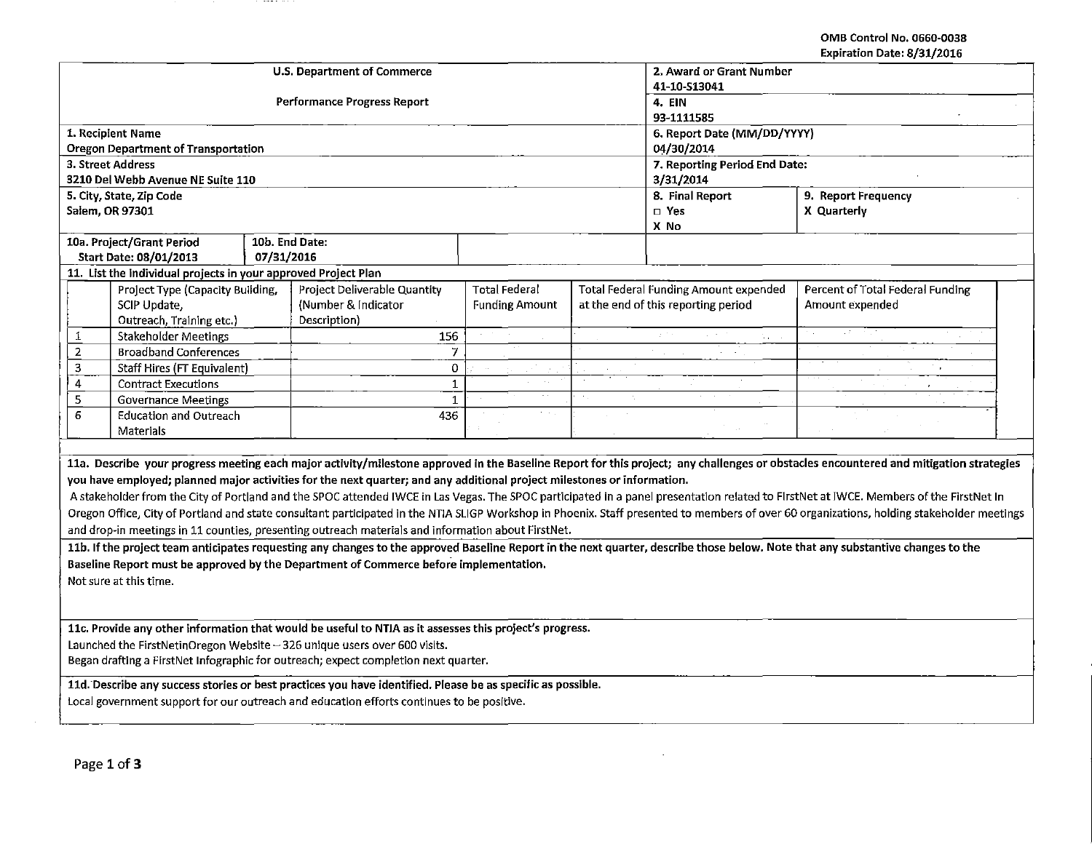#### OMB Control No. 0660-0038 Expiration Date: 8/31/2016

|                                                                                                                                                                                        | <b>U.S. Department of Commerce</b>                                                                                      |                               | 2. Award or Grant Number    |                                              |                                                                                                                                                                                            |  |  |
|----------------------------------------------------------------------------------------------------------------------------------------------------------------------------------------|-------------------------------------------------------------------------------------------------------------------------|-------------------------------|-----------------------------|----------------------------------------------|--------------------------------------------------------------------------------------------------------------------------------------------------------------------------------------------|--|--|
|                                                                                                                                                                                        | <b>Performance Progress Report</b>                                                                                      |                               | 41-10-S13041<br>4. EIN      |                                              |                                                                                                                                                                                            |  |  |
|                                                                                                                                                                                        |                                                                                                                         |                               | 93-1111585                  |                                              |                                                                                                                                                                                            |  |  |
| 1. Recipient Name                                                                                                                                                                      |                                                                                                                         |                               | 6. Report Date (MM/DD/YYYY) |                                              |                                                                                                                                                                                            |  |  |
| <b>Oregon Department of Transportation</b>                                                                                                                                             |                                                                                                                         |                               |                             | 04/30/2014                                   |                                                                                                                                                                                            |  |  |
| 3. Street Address                                                                                                                                                                      |                                                                                                                         |                               |                             | 7. Reporting Period End Date:                |                                                                                                                                                                                            |  |  |
| 3210 Del Webb Avenue NE Suite 110                                                                                                                                                      |                                                                                                                         |                               |                             | 3/31/2014                                    |                                                                                                                                                                                            |  |  |
| 5. City, State, Zip Code                                                                                                                                                               |                                                                                                                         |                               |                             | 8. Final Report                              | 9. Report Frequency                                                                                                                                                                        |  |  |
| Salem, OR 97301                                                                                                                                                                        |                                                                                                                         |                               |                             | □ Yes                                        | X Quarterly                                                                                                                                                                                |  |  |
|                                                                                                                                                                                        |                                                                                                                         |                               |                             | X No                                         |                                                                                                                                                                                            |  |  |
| 10a. Project/Grant Period                                                                                                                                                              | 10b. End Date:                                                                                                          |                               |                             |                                              |                                                                                                                                                                                            |  |  |
| Start Date: 08/01/2013                                                                                                                                                                 | 07/31/2016                                                                                                              |                               |                             |                                              |                                                                                                                                                                                            |  |  |
| 11. List the individual projects in your approved Project Plan                                                                                                                         | Project Deliverable Quantity                                                                                            | <b>Total Federal</b>          |                             | <b>Total Federal Funding Amount expended</b> | Percent of Total Federal Funding                                                                                                                                                           |  |  |
| Project Type (Capacity Building,<br>SCIP Update,                                                                                                                                       | (Number & Indicator                                                                                                     | <b>Funding Amount</b>         |                             | at the end of this reporting period          | Amount expended                                                                                                                                                                            |  |  |
| Outreach, Training etc.)                                                                                                                                                               | Description)                                                                                                            |                               |                             |                                              |                                                                                                                                                                                            |  |  |
| <b>Stakeholder Meetings</b><br>1                                                                                                                                                       | 156                                                                                                                     |                               |                             |                                              |                                                                                                                                                                                            |  |  |
| $\overline{2}$<br><b>Broadband Conferences</b>                                                                                                                                         |                                                                                                                         | $\overline{7}$                |                             |                                              |                                                                                                                                                                                            |  |  |
| 3<br>Staff Hires (FT Equivalent)                                                                                                                                                       |                                                                                                                         | 0                             |                             |                                              |                                                                                                                                                                                            |  |  |
| $\overline{4}$<br><b>Contract Executions</b>                                                                                                                                           |                                                                                                                         | $\mathbf{1}$<br>$\sim$ $\sim$ |                             |                                              |                                                                                                                                                                                            |  |  |
| 5<br><b>Governance Meetings</b>                                                                                                                                                        |                                                                                                                         | $\mathbf 1$                   |                             |                                              |                                                                                                                                                                                            |  |  |
| 6<br><b>Education and Outreach</b>                                                                                                                                                     | 436                                                                                                                     | n all                         |                             |                                              |                                                                                                                                                                                            |  |  |
| <b>Materials</b>                                                                                                                                                                       |                                                                                                                         |                               |                             |                                              |                                                                                                                                                                                            |  |  |
|                                                                                                                                                                                        |                                                                                                                         |                               |                             |                                              |                                                                                                                                                                                            |  |  |
|                                                                                                                                                                                        |                                                                                                                         |                               |                             |                                              | 11a. Describe your progress meeting each major activity/milestone approved in the Baseline Report for this project; any challenges or obstacles encountered and mitigation strategies      |  |  |
|                                                                                                                                                                                        | you have employed; planned major activities for the next quarter; and any additional project milestones or information. |                               |                             |                                              |                                                                                                                                                                                            |  |  |
| A stakeholder from the City of Portland and the SPOC attended IWCE in Las Vegas. The SPOC participated in a panel presentation related to FIrstNet at IWCE. Members of the FirstNet In |                                                                                                                         |                               |                             |                                              |                                                                                                                                                                                            |  |  |
|                                                                                                                                                                                        |                                                                                                                         |                               |                             |                                              | Oregon Office, City of Portland and state consultant participated in the NTIA SLIGP Workshop in Phoenix. Staff presented to members of over 60 organizations, holding stakeholder meetings |  |  |
|                                                                                                                                                                                        | and drop-in meetings in 11 counties, presenting outreach materials and information about FirstNet.                      |                               |                             |                                              |                                                                                                                                                                                            |  |  |
| 11b. If the project team anticipates requesting any changes to the approved Baseline Report in the next quarter, describe those below. Note that any substantive changes to the        |                                                                                                                         |                               |                             |                                              |                                                                                                                                                                                            |  |  |
| Baseline Report must be approved by the Department of Commerce before implementation.                                                                                                  |                                                                                                                         |                               |                             |                                              |                                                                                                                                                                                            |  |  |
| Not sure at this time.                                                                                                                                                                 |                                                                                                                         |                               |                             |                                              |                                                                                                                                                                                            |  |  |
|                                                                                                                                                                                        |                                                                                                                         |                               |                             |                                              |                                                                                                                                                                                            |  |  |
|                                                                                                                                                                                        |                                                                                                                         |                               |                             |                                              |                                                                                                                                                                                            |  |  |
| 11c. Provide any other information that would be useful to NTIA as it assesses this project's progress.                                                                                |                                                                                                                         |                               |                             |                                              |                                                                                                                                                                                            |  |  |
| Launched the FirstNetinOregon Website - 326 unique users over 600 visits.                                                                                                              |                                                                                                                         |                               |                             |                                              |                                                                                                                                                                                            |  |  |
| Began drafting a FirstNet Infographic for outreach; expect completion next quarter.                                                                                                    |                                                                                                                         |                               |                             |                                              |                                                                                                                                                                                            |  |  |
| 11d. Describe any success stories or best practices you have identified. Please be as specific as possible.                                                                            |                                                                                                                         |                               |                             |                                              |                                                                                                                                                                                            |  |  |
|                                                                                                                                                                                        | Local government support for our outreach and education efforts continues to be positive.                               |                               |                             |                                              |                                                                                                                                                                                            |  |  |
|                                                                                                                                                                                        |                                                                                                                         |                               |                             |                                              |                                                                                                                                                                                            |  |  |

 $\sim 10^{-1}$ 

 $\cdots$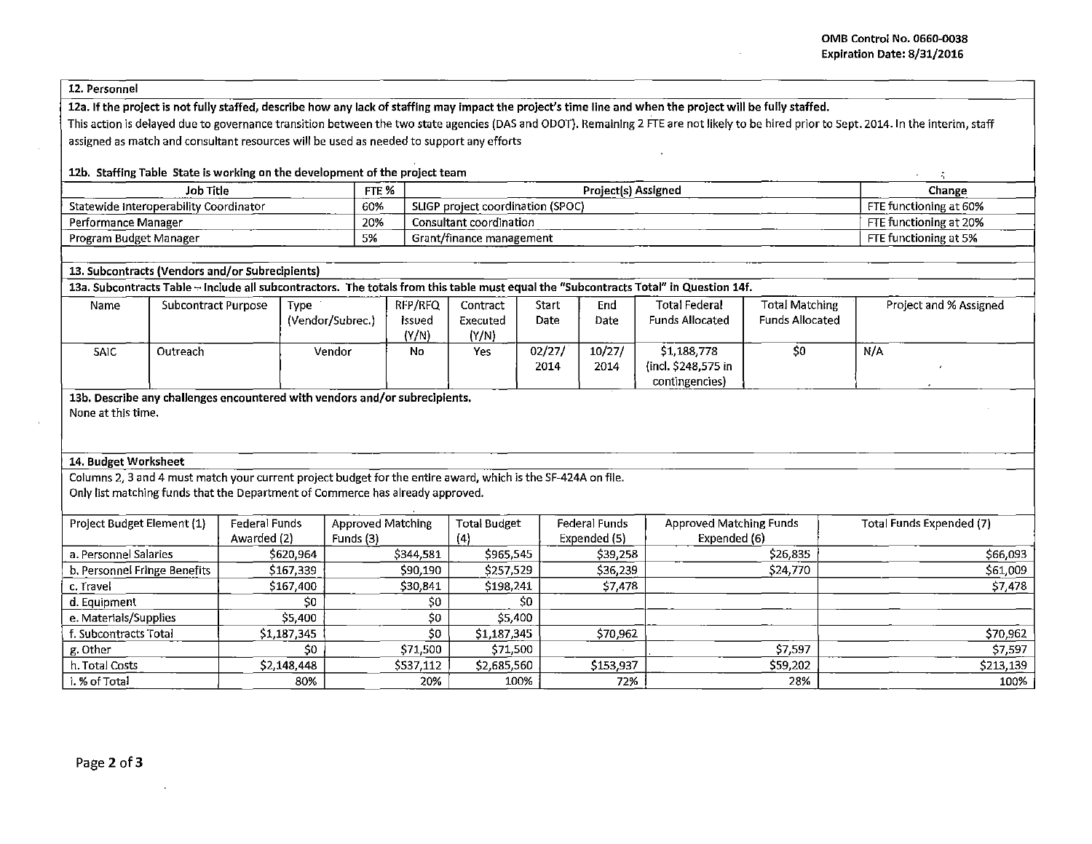### 12a. If the project is not fully staffed, describe how any lack of staffing may impact the project's time line and when the project will be fully staffed.

This action is delayed due to governance transition between the two state agencies (DAS and ODOT). Remaining 2 FTE are not likely to be hired prior to Sept. 2014.1n the interim, staff assigned as match and consultant resources will be used as needed to support any efforts

# 12b. Staffing Table State is working on the development of the project team  $\frac{1}{2}$

| Job Title                              | FTE %       | _____<br><b>Project(s) Assigned</b>         | Change                             |
|----------------------------------------|-------------|---------------------------------------------|------------------------------------|
| Statewide Interoperability Coordinator | 60%<br>____ | oroiect coordination (SPOC)<br><b>SLIGP</b> | <b>CTC</b><br>- functioning at 60% |
| Performance Manager                    | 20%         | sultant coordination                        | E functioning at 20%               |
| Program Budget Manager                 | 5%          | Grant/finance management                    | TE functioning at 5%               |

# 13. Subcontracts (Vendors and/or Subrecipients)

13a. Subcontracts Table - Include all subcontractors. The totals from this table must equal the "Subcontracts Total" in Question 14f.

| Name | Subcontract Purpose | Type             | RFP/RFQ | Contract | Start  | End    | Total Federal          | <b>Total Matching</b>  | Project and % Assigned |
|------|---------------------|------------------|---------|----------|--------|--------|------------------------|------------------------|------------------------|
|      |                     | (Vendor/Subrec.) | Issued  | Executed | Date   | Date   | <b>Funds Allocated</b> | <b>Funds Allocated</b> |                        |
|      |                     |                  | (Y/N)   | (Y/N)    |        |        |                        |                        |                        |
| SAIC | Outreach            | Vendor           | No      | Yes      | 02/27/ | 10/27/ | \$1,188,778            | \$0                    | N/A                    |
|      |                     |                  |         |          | 2014   | 2014   | (incl. \$248,575 in    |                        |                        |
|      |                     |                  |         |          |        |        | contingencies)         |                        |                        |

13b. Describe any challenges encountered with vendors and/or subrecipients. None at this time.

#### 14. Budget Worksheet

Columns 2, 3 and 4 must match your current project budget for the entire award, which is the SF-424A on file. Only list matching funds that the Department of Commerce has already approved.

| Project Budget Element (1)   | Federal Funds             | <b>Approved Matching</b> | <b>Total Budget</b> | <b>Federal Funds</b> | <b>Approved Matching Funds</b> | Total Funds Expended (7) |
|------------------------------|---------------------------|--------------------------|---------------------|----------------------|--------------------------------|--------------------------|
|                              | Awarded (2)               | Funds (3)                | 14                  | Expended (5)         | Expended (6)                   |                          |
| a. Personnel Salaries        | \$620,964                 | \$344,581                | \$965,545           | \$39,258             | \$26,835                       | \$66,093                 |
| b. Personnel Fringe Benefits | \$167,339                 | \$90,190                 | \$257,529           | \$36,239             | \$24,770                       | \$61,009                 |
| c. Travel                    | \$167,400                 | \$30,841                 | \$198,241           | \$7,478              |                                | \$7,478                  |
| d. Equipment                 | \$0                       | \$0                      | \$0                 |                      |                                |                          |
| e. Materials/Supplies        | \$5,400                   | \$0                      | \$5,400             |                      |                                |                          |
| . Subcontracts Total         | \$1,187,345               | \$0                      | \$1,187,345         | \$70,962             |                                | \$70,962                 |
| g. Other                     | \$0                       | \$71,500                 | \$71,500            |                      | \$7,597                        | \$7,597                  |
| h. Total Costs               | S <sub>2</sub> , 148, 448 | \$537,112                | \$2,685,560         | \$153,937            | \$59,202                       | \$213,139                |
| i. % of Total                | 80%                       | 20%                      | 100%                | 72%                  | 28%                            | 100%                     |